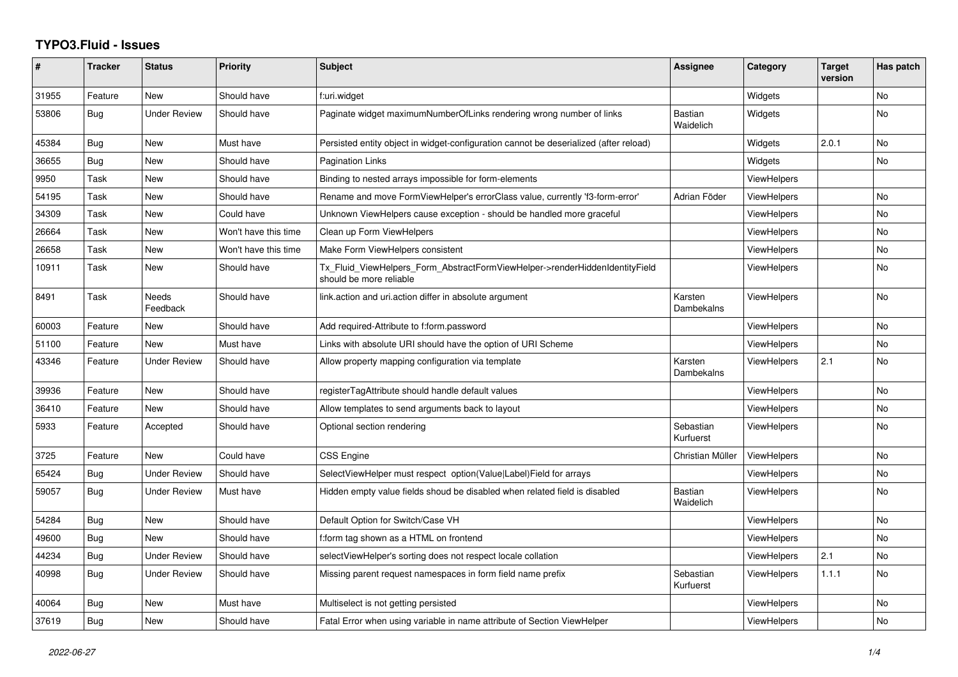## **TYPO3.Fluid - Issues**

| #     | <b>Tracker</b> | <b>Status</b>       | Priority             | Subject                                                                                                | Assignee                    | Category           | <b>Target</b><br>version | Has patch      |
|-------|----------------|---------------------|----------------------|--------------------------------------------------------------------------------------------------------|-----------------------------|--------------------|--------------------------|----------------|
| 31955 | Feature        | <b>New</b>          | Should have          | f:uri.widget                                                                                           |                             | Widgets            |                          | No             |
| 53806 | Bug            | Under Review        | Should have          | Paginate widget maximumNumberOfLinks rendering wrong number of links                                   | <b>Bastian</b><br>Waidelich | Widgets            |                          | No             |
| 45384 | Bug            | <b>New</b>          | Must have            | Persisted entity object in widget-configuration cannot be deserialized (after reload)                  |                             | Widgets            | 2.0.1                    | No.            |
| 36655 | Bug            | New                 | Should have          | Pagination Links                                                                                       |                             | Widgets            |                          | No             |
| 9950  | Task           | New                 | Should have          | Binding to nested arrays impossible for form-elements                                                  |                             | ViewHelpers        |                          |                |
| 54195 | Task           | New                 | Should have          | Rename and move FormViewHelper's errorClass value, currently 'f3-form-error'                           | Adrian Föder                | <b>ViewHelpers</b> |                          | <b>No</b>      |
| 34309 | Task           | New                 | Could have           | Unknown ViewHelpers cause exception - should be handled more graceful                                  |                             | ViewHelpers        |                          | No             |
| 26664 | Task           | New                 | Won't have this time | Clean up Form ViewHelpers                                                                              |                             | ViewHelpers        |                          | No             |
| 26658 | Task           | New                 | Won't have this time | Make Form ViewHelpers consistent                                                                       |                             | ViewHelpers        |                          | <b>No</b>      |
| 10911 | Task           | New                 | Should have          | Tx Fluid ViewHelpers Form AbstractFormViewHelper->renderHiddenIdentityField<br>should be more reliable |                             | <b>ViewHelpers</b> |                          | No             |
| 8491  | Task           | Needs<br>Feedback   | Should have          | link.action and uri.action differ in absolute argument                                                 | Karsten<br>Dambekalns       | <b>ViewHelpers</b> |                          | No             |
| 60003 | Feature        | <b>New</b>          | Should have          | Add required-Attribute to f:form.password                                                              |                             | <b>ViewHelpers</b> |                          | <b>No</b>      |
| 51100 | Feature        | <b>New</b>          | Must have            | Links with absolute URI should have the option of URI Scheme                                           |                             | ViewHelpers        |                          | No             |
| 43346 | Feature        | Under Review        | Should have          | Allow property mapping configuration via template                                                      | Karsten<br>Dambekalns       | ViewHelpers        | 2.1                      | No             |
| 39936 | Feature        | <b>New</b>          | Should have          | registerTagAttribute should handle default values                                                      |                             | <b>ViewHelpers</b> |                          | No             |
| 36410 | Feature        | New                 | Should have          | Allow templates to send arguments back to layout                                                       |                             | <b>ViewHelpers</b> |                          | N <sub>o</sub> |
| 5933  | Feature        | Accepted            | Should have          | Optional section rendering                                                                             | Sebastian<br>Kurfuerst      | <b>ViewHelpers</b> |                          | No             |
| 3725  | Feature        | <b>New</b>          | Could have           | <b>CSS Engine</b>                                                                                      | Christian Müller            | ViewHelpers        |                          | No.            |
| 65424 | Bug            | <b>Under Review</b> | Should have          | SelectViewHelper must respect option(Value Label)Field for arrays                                      |                             | ViewHelpers        |                          | No             |
| 59057 | Bug            | Under Review        | Must have            | Hidden empty value fields shoud be disabled when related field is disabled                             | <b>Bastian</b><br>Waidelich | <b>ViewHelpers</b> |                          | No             |
| 54284 | Bug            | <b>New</b>          | Should have          | Default Option for Switch/Case VH                                                                      |                             | <b>ViewHelpers</b> |                          | No             |
| 49600 | Bug            | <b>New</b>          | Should have          | f:form tag shown as a HTML on frontend                                                                 |                             | ViewHelpers        |                          | <b>No</b>      |
| 44234 | <b>Bug</b>     | Under Review        | Should have          | selectViewHelper's sorting does not respect locale collation                                           |                             | <b>ViewHelpers</b> | 2.1                      | No             |
| 40998 | Bug            | Under Review        | Should have          | Missing parent request namespaces in form field name prefix                                            | Sebastian<br>Kurfuerst      | <b>ViewHelpers</b> | 1.1.1                    | <b>No</b>      |
| 40064 | Bug            | New                 | Must have            | Multiselect is not getting persisted                                                                   |                             | <b>ViewHelpers</b> |                          | No             |
| 37619 | <b>Bug</b>     | <b>New</b>          | Should have          | Fatal Error when using variable in name attribute of Section ViewHelper                                |                             | <b>ViewHelpers</b> |                          | No             |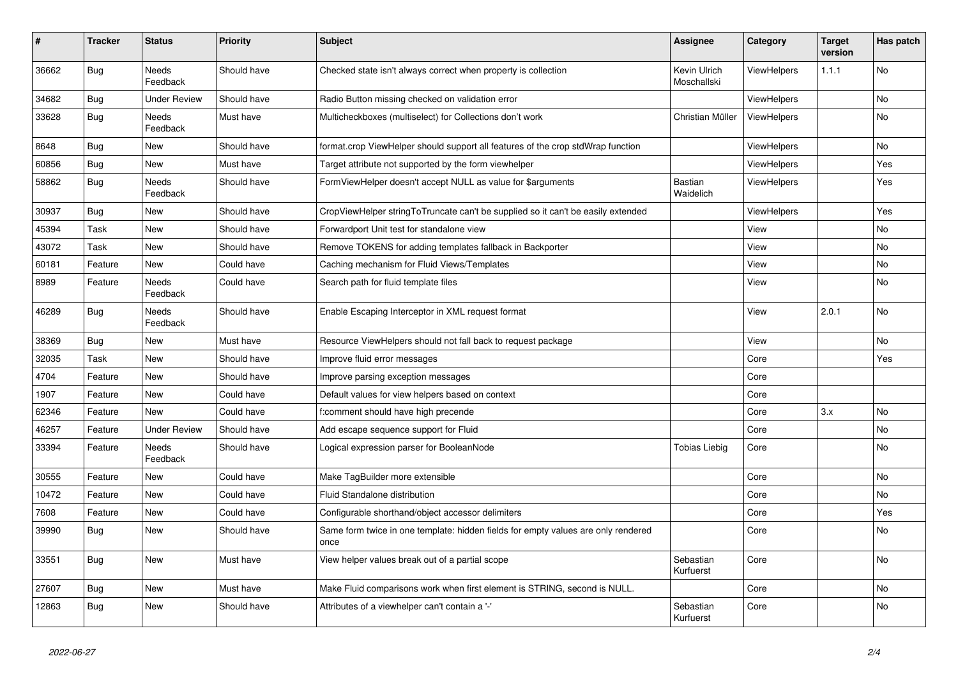| #     | <b>Tracker</b> | <b>Status</b>            | <b>Priority</b> | <b>Subject</b>                                                                            | Assignee                    | Category           | <b>Target</b><br>version | Has patch |
|-------|----------------|--------------------------|-----------------|-------------------------------------------------------------------------------------------|-----------------------------|--------------------|--------------------------|-----------|
| 36662 | Bug            | <b>Needs</b><br>Feedback | Should have     | Checked state isn't always correct when property is collection                            | Kevin Ulrich<br>Moschallski | ViewHelpers        | 1.1.1                    | <b>No</b> |
| 34682 | Bug            | <b>Under Review</b>      | Should have     | Radio Button missing checked on validation error                                          |                             | <b>ViewHelpers</b> |                          | No        |
| 33628 | <b>Bug</b>     | <b>Needs</b><br>Feedback | Must have       | Multicheckboxes (multiselect) for Collections don't work                                  | Christian Müller            | <b>ViewHelpers</b> |                          | No        |
| 8648  | Bug            | New                      | Should have     | format.crop ViewHelper should support all features of the crop stdWrap function           |                             | <b>ViewHelpers</b> |                          | No        |
| 60856 | <b>Bug</b>     | New                      | Must have       | Target attribute not supported by the form viewhelper                                     |                             | <b>ViewHelpers</b> |                          | Yes       |
| 58862 | <b>Bug</b>     | Needs<br>Feedback        | Should have     | FormViewHelper doesn't accept NULL as value for \$arguments                               | Bastian<br>Waidelich        | ViewHelpers        |                          | Yes       |
| 30937 | Bug            | <b>New</b>               | Should have     | CropViewHelper stringToTruncate can't be supplied so it can't be easily extended          |                             | ViewHelpers        |                          | Yes       |
| 45394 | Task           | <b>New</b>               | Should have     | Forwardport Unit test for standalone view                                                 |                             | View               |                          | No        |
| 43072 | Task           | New                      | Should have     | Remove TOKENS for adding templates fallback in Backporter                                 |                             | View               |                          | No        |
| 60181 | Feature        | New                      | Could have      | Caching mechanism for Fluid Views/Templates                                               |                             | View               |                          | No        |
| 8989  | Feature        | <b>Needs</b><br>Feedback | Could have      | Search path for fluid template files                                                      |                             | View               |                          | No        |
| 46289 | <b>Bug</b>     | Needs<br>Feedback        | Should have     | Enable Escaping Interceptor in XML request format                                         |                             | View               | 2.0.1                    | <b>No</b> |
| 38369 | Bug            | <b>New</b>               | Must have       | Resource ViewHelpers should not fall back to request package                              |                             | View               |                          | No        |
| 32035 | Task           | New                      | Should have     | Improve fluid error messages                                                              |                             | Core               |                          | Yes       |
| 4704  | Feature        | New                      | Should have     | Improve parsing exception messages                                                        |                             | Core               |                          |           |
| 1907  | Feature        | New                      | Could have      | Default values for view helpers based on context                                          |                             | Core               |                          |           |
| 62346 | Feature        | New                      | Could have      | f:comment should have high precende                                                       |                             | Core               | 3.x                      | No        |
| 46257 | Feature        | <b>Under Review</b>      | Should have     | Add escape sequence support for Fluid                                                     |                             | Core               |                          | No        |
| 33394 | Feature        | <b>Needs</b><br>Feedback | Should have     | Logical expression parser for BooleanNode                                                 | Tobias Liebig               | Core               |                          | No        |
| 30555 | Feature        | New                      | Could have      | Make TagBuilder more extensible                                                           |                             | Core               |                          | No        |
| 10472 | Feature        | New                      | Could have      | Fluid Standalone distribution                                                             |                             | Core               |                          | No        |
| 7608  | Feature        | New                      | Could have      | Configurable shorthand/object accessor delimiters                                         |                             | Core               |                          | Yes       |
| 39990 | <b>Bug</b>     | New                      | Should have     | Same form twice in one template: hidden fields for empty values are only rendered<br>once |                             | Core               |                          | No        |
| 33551 | Bug            | <b>New</b>               | Must have       | View helper values break out of a partial scope                                           | Sebastian<br>Kurfuerst      | Core               |                          | No        |
| 27607 | Bug            | New                      | Must have       | Make Fluid comparisons work when first element is STRING, second is NULL.                 |                             | Core               |                          | No        |
| 12863 | Bug            | New                      | Should have     | Attributes of a viewhelper can't contain a '-'                                            | Sebastian<br>Kurfuerst      | Core               |                          | No        |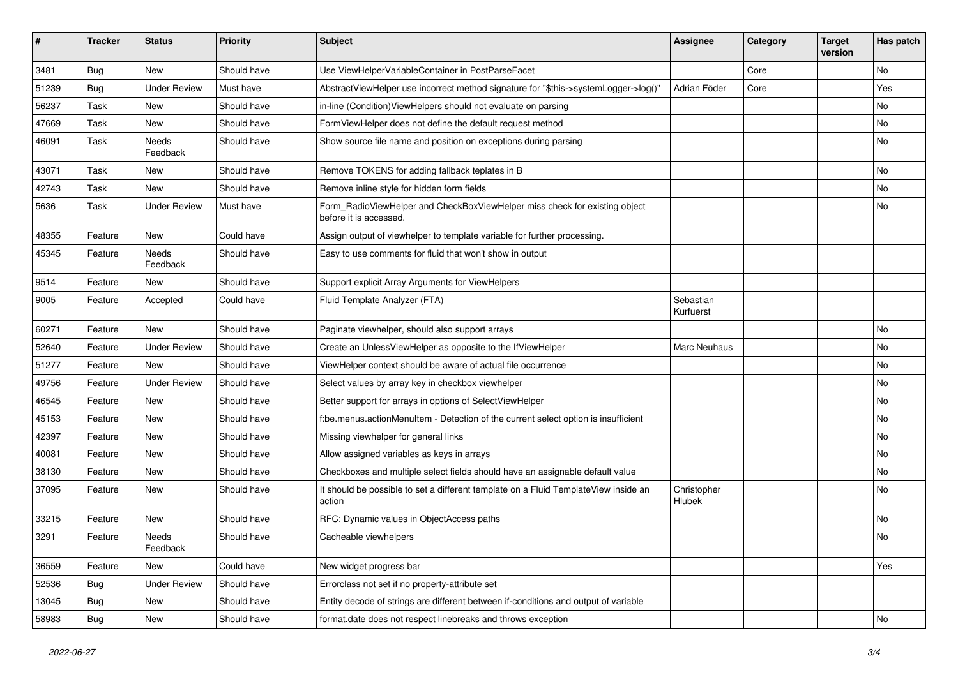| ∦     | <b>Tracker</b> | <b>Status</b>            | <b>Priority</b> | <b>Subject</b>                                                                                       | <b>Assignee</b>        | Category | <b>Target</b><br>version | Has patch |
|-------|----------------|--------------------------|-----------------|------------------------------------------------------------------------------------------------------|------------------------|----------|--------------------------|-----------|
| 3481  | Bug            | New                      | Should have     | Use ViewHelperVariableContainer in PostParseFacet                                                    |                        | Core     |                          | <b>No</b> |
| 51239 | <b>Bug</b>     | <b>Under Review</b>      | Must have       | AbstractViewHelper use incorrect method signature for "\$this->systemLogger->log()"                  | Adrian Föder           | Core     |                          | Yes       |
| 56237 | Task           | New                      | Should have     | in-line (Condition) View Helpers should not evaluate on parsing                                      |                        |          |                          | No        |
| 47669 | Task           | New                      | Should have     | FormViewHelper does not define the default request method                                            |                        |          |                          | No        |
| 46091 | Task           | Needs<br>Feedback        | Should have     | Show source file name and position on exceptions during parsing                                      |                        |          |                          | No        |
| 43071 | Task           | New                      | Should have     | Remove TOKENS for adding fallback teplates in B                                                      |                        |          |                          | No        |
| 42743 | Task           | New                      | Should have     | Remove inline style for hidden form fields                                                           |                        |          |                          | No        |
| 5636  | Task           | <b>Under Review</b>      | Must have       | Form_RadioViewHelper and CheckBoxViewHelper miss check for existing object<br>before it is accessed. |                        |          |                          | No        |
| 48355 | Feature        | New                      | Could have      | Assign output of viewhelper to template variable for further processing.                             |                        |          |                          |           |
| 45345 | Feature        | <b>Needs</b><br>Feedback | Should have     | Easy to use comments for fluid that won't show in output                                             |                        |          |                          |           |
| 9514  | Feature        | New                      | Should have     | Support explicit Array Arguments for ViewHelpers                                                     |                        |          |                          |           |
| 9005  | Feature        | Accepted                 | Could have      | Fluid Template Analyzer (FTA)                                                                        | Sebastian<br>Kurfuerst |          |                          |           |
| 60271 | Feature        | <b>New</b>               | Should have     | Paginate viewhelper, should also support arrays                                                      |                        |          |                          | <b>No</b> |
| 52640 | Feature        | <b>Under Review</b>      | Should have     | Create an UnlessViewHelper as opposite to the IfViewHelper                                           | Marc Neuhaus           |          |                          | No        |
| 51277 | Feature        | New                      | Should have     | ViewHelper context should be aware of actual file occurrence                                         |                        |          |                          | No        |
| 49756 | Feature        | <b>Under Review</b>      | Should have     | Select values by array key in checkbox viewhelper                                                    |                        |          |                          | No        |
| 46545 | Feature        | New                      | Should have     | Better support for arrays in options of SelectViewHelper                                             |                        |          |                          | No        |
| 45153 | Feature        | New                      | Should have     | f:be.menus.actionMenuItem - Detection of the current select option is insufficient                   |                        |          |                          | <b>No</b> |
| 42397 | Feature        | New                      | Should have     | Missing viewhelper for general links                                                                 |                        |          |                          | No        |
| 40081 | Feature        | New                      | Should have     | Allow assigned variables as keys in arrays                                                           |                        |          |                          | No        |
| 38130 | Feature        | New                      | Should have     | Checkboxes and multiple select fields should have an assignable default value                        |                        |          |                          | No        |
| 37095 | Feature        | New                      | Should have     | It should be possible to set a different template on a Fluid TemplateView inside an<br>action        | Christopher<br>Hlubek  |          |                          | No        |
| 33215 | Feature        | New                      | Should have     | RFC: Dynamic values in ObjectAccess paths                                                            |                        |          |                          | No        |
| 3291  | Feature        | Needs<br>Feedback        | Should have     | Cacheable viewhelpers                                                                                |                        |          |                          | No        |
| 36559 | Feature        | New                      | Could have      | New widget progress bar                                                                              |                        |          |                          | Yes       |
| 52536 | <b>Bug</b>     | <b>Under Review</b>      | Should have     | Errorclass not set if no property-attribute set                                                      |                        |          |                          |           |
| 13045 | <b>Bug</b>     | New                      | Should have     | Entity decode of strings are different between if-conditions and output of variable                  |                        |          |                          |           |
| 58983 | <b>Bug</b>     | New                      | Should have     | format.date does not respect linebreaks and throws exception                                         |                        |          |                          | No        |